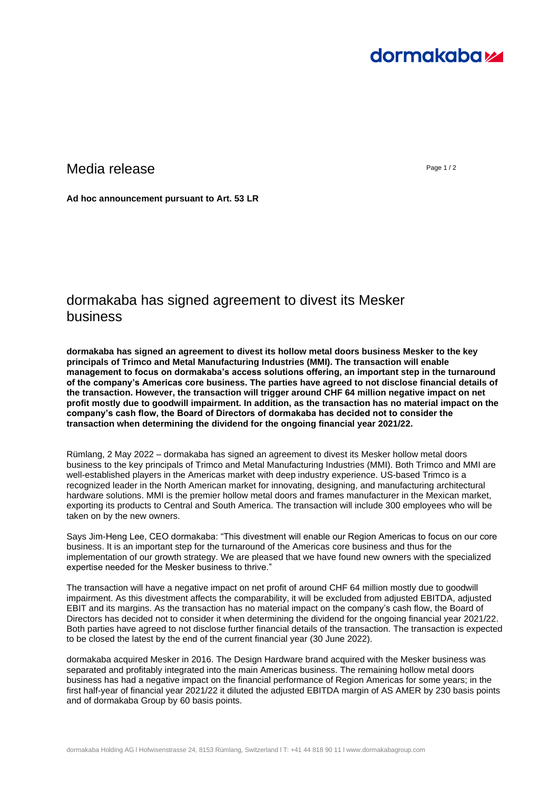# **dormakabazz**

## Media release and a contract the contract of the contract of the contract of the contract of the contract of the contract of the contract of the contract of the contract of the contract of the contract of the contract of t

**Ad hoc announcement pursuant to Art. 53 LR**

# dormakaba has signed agreement to divest its Mesker business

**dormakaba has signed an agreement to divest its hollow metal doors business Mesker to the key principals of Trimco and Metal Manufacturing Industries (MMI). The transaction will enable management to focus on dormakaba's access solutions offering, an important step in the turnaround of the company's Americas core business. The parties have agreed to not disclose financial details of the transaction. However, the transaction will trigger around CHF 64 million negative impact on net profit mostly due to goodwill impairment. In addition, as the transaction has no material impact on the company's cash flow, the Board of Directors of dormakaba has decided not to consider the transaction when determining the dividend for the ongoing financial year 2021/22.**

Rümlang, 2 May 2022 – dormakaba has signed an agreement to divest its Mesker hollow metal doors business to the key principals of Trimco and Metal Manufacturing Industries (MMI). Both Trimco and MMI are well-established players in the Americas market with deep industry experience. US-based Trimco is a recognized leader in the North American market for innovating, designing, and manufacturing architectural hardware solutions. MMI is the premier hollow metal doors and frames manufacturer in the Mexican market, exporting its products to Central and South America. The transaction will include 300 employees who will be taken on by the new owners.

Says Jim-Heng Lee, CEO dormakaba: "This divestment will enable our Region Americas to focus on our core business. It is an important step for the turnaround of the Americas core business and thus for the implementation of our growth strategy. We are pleased that we have found new owners with the specialized expertise needed for the Mesker business to thrive."

The transaction will have a negative impact on net profit of around CHF 64 million mostly due to goodwill impairment. As this divestment affects the comparability, it will be excluded from adjusted EBITDA, adjusted EBIT and its margins. As the transaction has no material impact on the company's cash flow, the Board of Directors has decided not to consider it when determining the dividend for the ongoing financial year 2021/22. Both parties have agreed to not disclose further financial details of the transaction. The transaction is expected to be closed the latest by the end of the current financial year (30 June 2022).

dormakaba acquired Mesker in 2016. The Design Hardware brand acquired with the Mesker business was separated and profitably integrated into the main Americas business. The remaining hollow metal doors business has had a negative impact on the financial performance of Region Americas for some years; in the first half-year of financial year 2021/22 it diluted the adjusted EBITDA margin of AS AMER by 230 basis points and of dormakaba Group by 60 basis points.